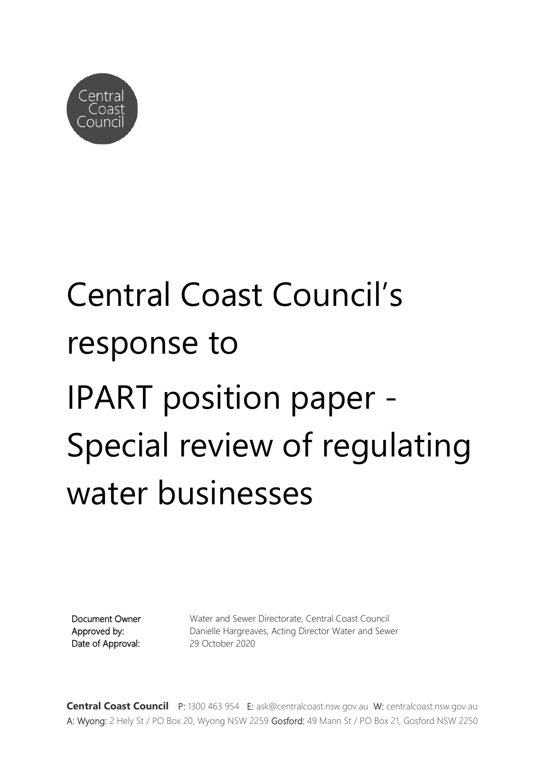

# Central Coast Council's response to IPART position paper - Special review of regulating water businesses

Document Owner Approved by: Date of Approval: Water and Sewer Directorate, Central Coast Council Danielle Hargreaves, Acting Director Water and Sewer 29 October 2020

**Central Coast Council** P: 1300 463 954 E: [ask@centralcoast.nsw.gov.au](mailto:ask@centralcoast.nsw.gov.au) W: centralcoast.nsw.gov.au A: Wyong: 2 Hely St / PO Box 20, Wyong NSW 2259 Gosford: 49 Mann St / PO Box 21, Gosford NSW 2250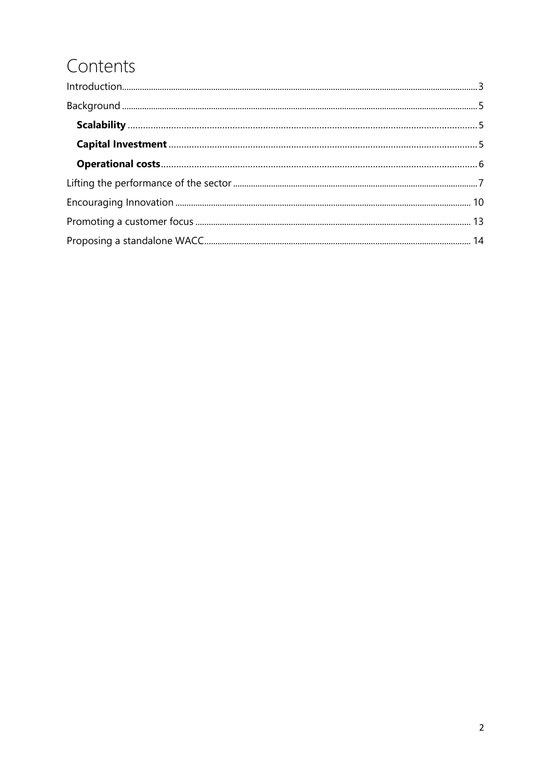### Contents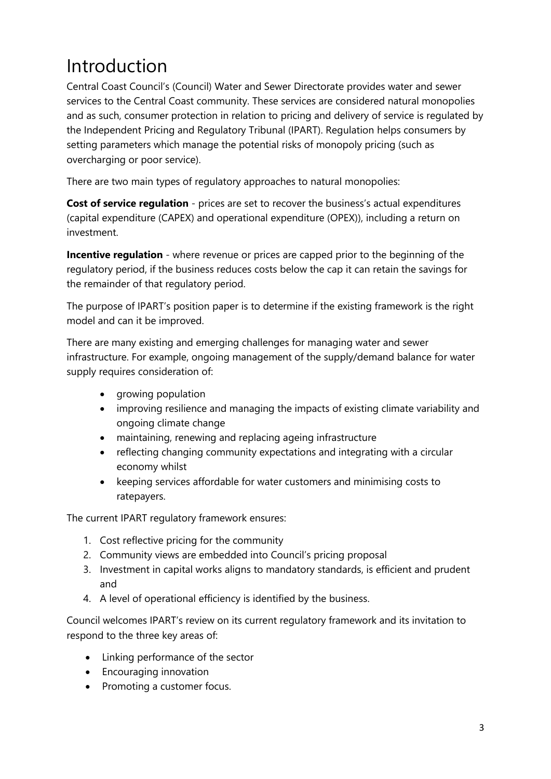### <span id="page-2-0"></span>Introduction

Central Coast Council's (Council) Water and Sewer Directorate provides water and sewer services to the Central Coast community. These services are considered natural monopolies and as such, consumer protection in relation to pricing and delivery of service is regulated by the Independent Pricing and Regulatory Tribunal (IPART). Regulation helps consumers by setting parameters which manage the potential risks of monopoly pricing (such as overcharging or poor service).

There are two main types of regulatory approaches to natural monopolies:

**Cost of service regulation** - prices are set to recover the business's actual expenditures (capital expenditure (CAPEX) and operational expenditure (OPEX)), including a return on investment.

**Incentive regulation** - where revenue or prices are capped prior to the beginning of the regulatory period, if the business reduces costs below the cap it can retain the savings for the remainder of that regulatory period.

The purpose of IPART's position paper is to determine if the existing framework is the right model and can it be improved.

There are many existing and emerging challenges for managing water and sewer infrastructure. For example, ongoing management of the supply/demand balance for water supply requires consideration of:

- growing population
- improving resilience and managing the impacts of existing climate variability and ongoing climate change
- maintaining, renewing and replacing ageing infrastructure
- reflecting changing community expectations and integrating with a circular economy whilst
- keeping services affordable for water customers and minimising costs to ratepayers.

The current IPART regulatory framework ensures:

- 1. Cost reflective pricing for the community
- 2. Community views are embedded into Council's pricing proposal
- 3. Investment in capital works aligns to mandatory standards, is efficient and prudent and
- 4. A level of operational efficiency is identified by the business.

Council welcomes IPART's review on its current regulatory framework and its invitation to respond to the three key areas of:

- Linking performance of the sector
- Encouraging innovation
- Promoting a customer focus.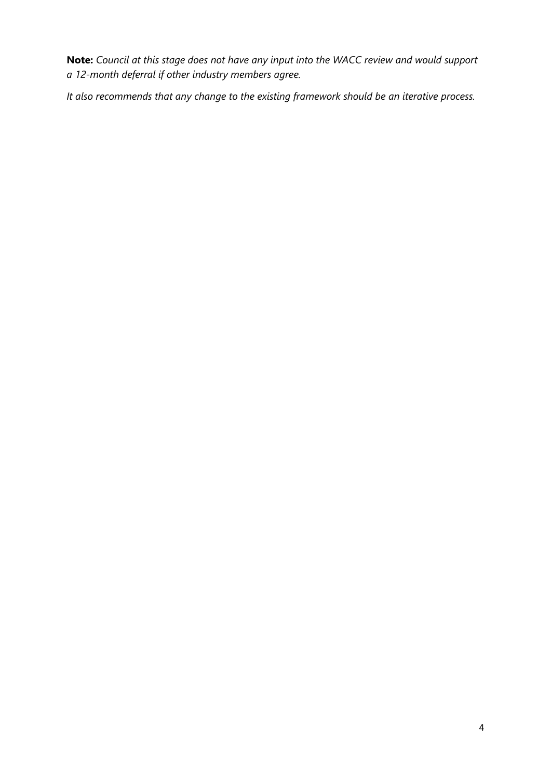**Note:** *Council at this stage does not have any input into the WACC review and would support a 12-month deferral if other industry members agree.*

*It also recommends that any change to the existing framework should be an iterative process.*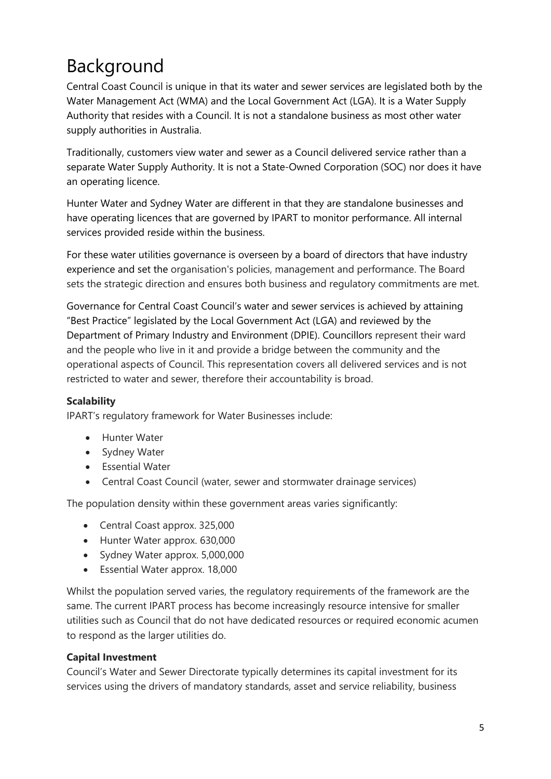## <span id="page-4-0"></span>Background

Central Coast Council is unique in that its water and sewer services are legislated both by the Water Management Act (WMA) and the Local Government Act (LGA). It is a Water Supply Authority that resides with a Council. It is not a standalone business as most other water supply authorities in Australia.

Traditionally, customers view water and sewer as a Council delivered service rather than a separate Water Supply Authority. It is not a State-Owned Corporation (SOC) nor does it have an operating licence.

Hunter Water and Sydney Water are different in that they are standalone businesses and have operating licences that are governed by IPART to monitor performance. All internal services provided reside within the business.

For these water utilities governance is overseen by a board of directors that have industry experience and set the organisation's policies, management and performance. The Board sets the strategic direction and ensures both business and regulatory commitments are met.

Governance for Central Coast Council's water and sewer services is achieved by attaining "Best Practice" legislated by the Local Government Act (LGA) and reviewed by the Department of Primary Industry and Environment (DPIE). Councillors represent their ward and the people who live in it and provide a bridge between the community and the operational aspects of Council. This representation covers all delivered services and is not restricted to water and sewer, therefore their accountability is broad.

#### <span id="page-4-1"></span>**Scalability**

IPART's regulatory framework for Water Businesses include:

- Hunter Water
- Sydney Water
- Essential Water
- Central Coast Council (water, sewer and stormwater drainage services)

The population density within these government areas varies significantly:

- Central Coast approx. 325,000
- Hunter Water approx. 630,000
- Sydney Water approx. 5,000,000
- Essential Water approx. 18,000

Whilst the population served varies, the regulatory requirements of the framework are the same. The current IPART process has become increasingly resource intensive for smaller utilities such as Council that do not have dedicated resources or required economic acumen to respond as the larger utilities do.

#### <span id="page-4-2"></span>**Capital Investment**

Council's Water and Sewer Directorate typically determines its capital investment for its services using the drivers of mandatory standards, asset and service reliability, business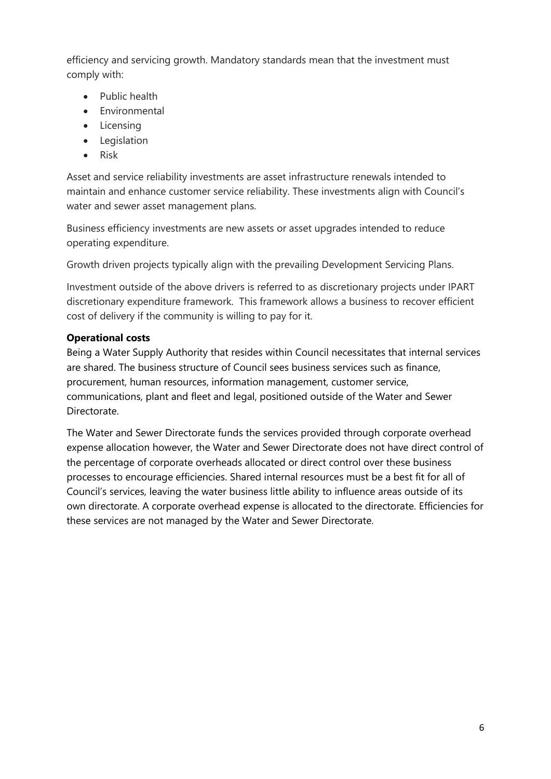efficiency and servicing growth. Mandatory standards mean that the investment must comply with:

- Public health
- Environmental
- Licensing
- Legislation
- Risk

Asset and service reliability investments are asset infrastructure renewals intended to maintain and enhance customer service reliability. These investments align with Council's water and sewer asset management plans.

Business efficiency investments are new assets or asset upgrades intended to reduce operating expenditure.

Growth driven projects typically align with the prevailing Development Servicing Plans.

Investment outside of the above drivers is referred to as discretionary projects under IPART discretionary expenditure framework. This framework allows a business to recover efficient cost of delivery if the community is willing to pay for it.

#### <span id="page-5-0"></span>**Operational costs**

Being a Water Supply Authority that resides within Council necessitates that internal services are shared. The business structure of Council sees business services such as finance, procurement, human resources, information management, customer service, communications, plant and fleet and legal, positioned outside of the Water and Sewer Directorate.

The Water and Sewer Directorate funds the services provided through corporate overhead expense allocation however, the Water and Sewer Directorate does not have direct control of the percentage of corporate overheads allocated or direct control over these business processes to encourage efficiencies. Shared internal resources must be a best fit for all of Council's services, leaving the water business little ability to influence areas outside of its own directorate. A corporate overhead expense is allocated to the directorate. Efficiencies for these services are not managed by the Water and Sewer Directorate.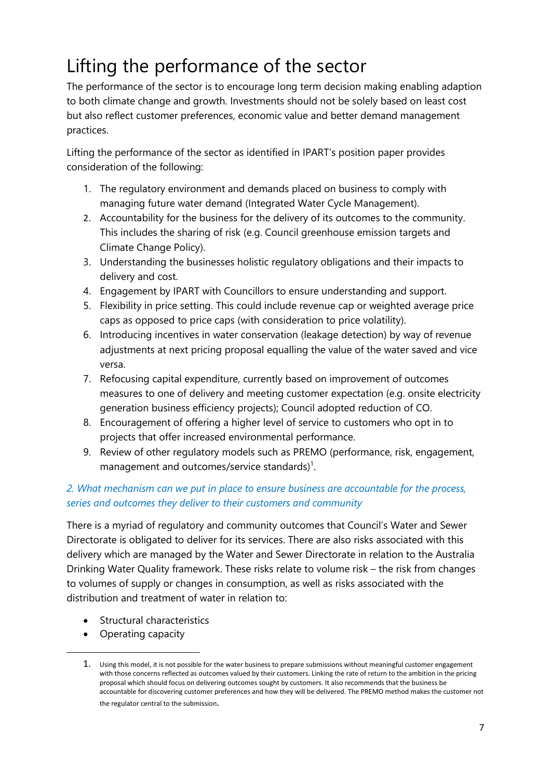### <span id="page-6-0"></span>Lifting the performance of the sector

The performance of the sector is to encourage long term decision making enabling adaption to both climate change and growth. Investments should not be solely based on least cost but also reflect customer preferences, economic value and better demand management practices.

Lifting the performance of the sector as identified in IPART's position paper provides consideration of the following:

- 1. The regulatory environment and demands placed on business to comply with managing future water demand (Integrated Water Cycle Management).
- 2. Accountability for the business for the delivery of its outcomes to the community. This includes the sharing of risk (e.g. Council greenhouse emission targets and Climate Change Policy).
- 3. Understanding the businesses holistic regulatory obligations and their impacts to delivery and cost.
- 4. Engagement by IPART with Councillors to ensure understanding and support.
- 5. Flexibility in price setting. This could include revenue cap or weighted average price caps as opposed to price caps (with consideration to price volatility).
- 6. Introducing incentives in water conservation (leakage detection) by way of revenue adjustments at next pricing proposal equalling the value of the water saved and vice versa.
- 7. Refocusing capital expenditure, currently based on improvement of outcomes measures to one of delivery and meeting customer expectation (e.g. onsite electricity generation business efficiency projects); Council adopted reduction of CO.
- 8. Encouragement of offering a higher level of service to customers who opt in to projects that offer increased environmental performance.
- 9. Review of other regulatory models such as PREMO (performance, risk, engagement, management and outcomes/service standards)<sup>1</sup>.

### *2. What mechanism can we put in place to ensure business are accountable for the process, series and outcomes they deliver to their customers and community*

There is a myriad of regulatory and community outcomes that Council's Water and Sewer Directorate is obligated to deliver for its services. There are also risks associated with this delivery which are managed by the Water and Sewer Directorate in relation to the Australia Drinking Water Quality framework. These risks relate to volume risk – the risk from changes to volumes of supply or changes in consumption, as well as risks associated with the distribution and treatment of water in relation to:

- Structural characteristics
- Operating capacity

1

<sup>1.</sup> Using this model, it is not possible for the water business to prepare submissions without meaningful customer engagement with those concerns reflected as outcomes valued by their customers. Linking the rate of return to the ambition in the pricing proposal which should focus on delivering outcomes sought by customers. It also recommends that the business be accountable for discovering customer preferences and how they will be delivered. The PREMO method makes the customer not the regulator central to the submission.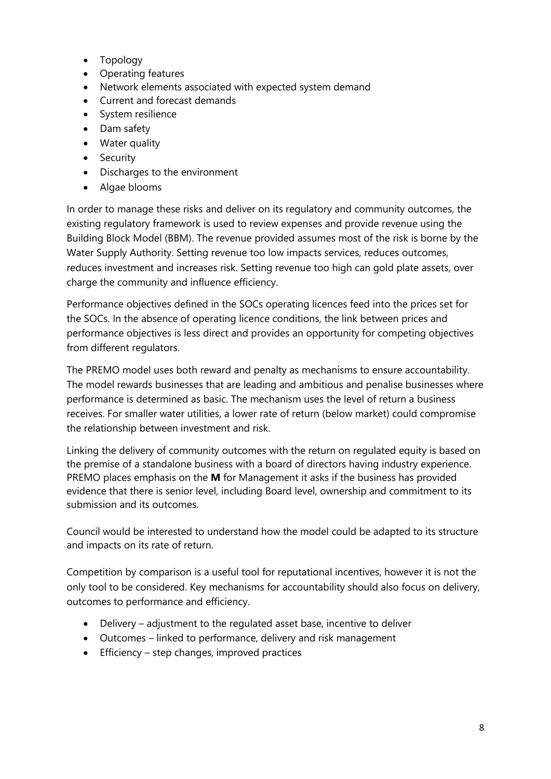- Topology
- Operating features
- Network elements associated with expected system demand
- Current and forecast demands
- System resilience
- Dam safety
- Water quality
- Security
- Discharges to the environment
- Algae blooms

In order to manage these risks and deliver on its regulatory and community outcomes, the existing regulatory framework is used to review expenses and provide revenue using the Building Block Model (BBM). The revenue provided assumes most of the risk is borne by the Water Supply Authority. Setting revenue too low impacts services, reduces outcomes, reduces investment and increases risk. Setting revenue too high can gold plate assets, over charge the community and influence efficiency.

Performance objectives defined in the SOCs operating licences feed into the prices set for the SOCs. In the absence of operating licence conditions, the link between prices and performance objectives is less direct and provides an opportunity for competing objectives from different regulators.

The PREMO model uses both reward and penalty as mechanisms to ensure accountability. The model rewards businesses that are leading and ambitious and penalise businesses where performance is determined as basic. The mechanism uses the level of return a business receives. For smaller water utilities, a lower rate of return (below market) could compromise the relationship between investment and risk.

Linking the delivery of community outcomes with the return on regulated equity is based on the premise of a standalone business with a board of directors having industry experience. PREMO places emphasis on the **M** for Management it asks if the business has provided evidence that there is senior level, including Board level, ownership and commitment to its submission and its outcomes.

Council would be interested to understand how the model could be adapted to its structure and impacts on its rate of return.

Competition by comparison is a useful tool for reputational incentives, however it is not the only tool to be considered. Key mechanisms for accountability should also focus on delivery, outcomes to performance and efficiency.

- Delivery adjustment to the regulated asset base, incentive to deliver
- Outcomes linked to performance, delivery and risk management
- Efficiency step changes, improved practices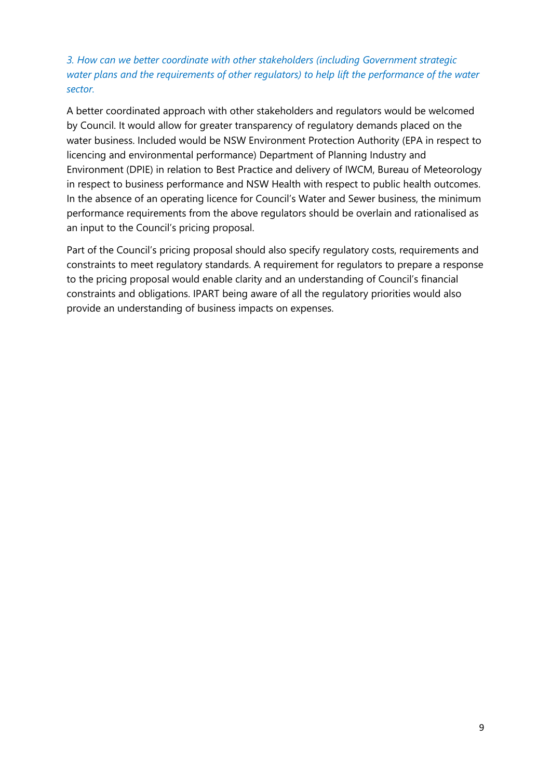### *3. How can we better coordinate with other stakeholders (including Government strategic water plans and the requirements of other regulators) to help lift the performance of the water sector.*

A better coordinated approach with other stakeholders and regulators would be welcomed by Council. It would allow for greater transparency of regulatory demands placed on the water business. Included would be NSW Environment Protection Authority (EPA in respect to licencing and environmental performance) Department of Planning Industry and Environment (DPIE) in relation to Best Practice and delivery of IWCM, Bureau of Meteorology in respect to business performance and NSW Health with respect to public health outcomes. In the absence of an operating licence for Council's Water and Sewer business, the minimum performance requirements from the above regulators should be overlain and rationalised as an input to the Council's pricing proposal.

Part of the Council's pricing proposal should also specify regulatory costs, requirements and constraints to meet regulatory standards. A requirement for regulators to prepare a response to the pricing proposal would enable clarity and an understanding of Council's financial constraints and obligations. IPART being aware of all the regulatory priorities would also provide an understanding of business impacts on expenses.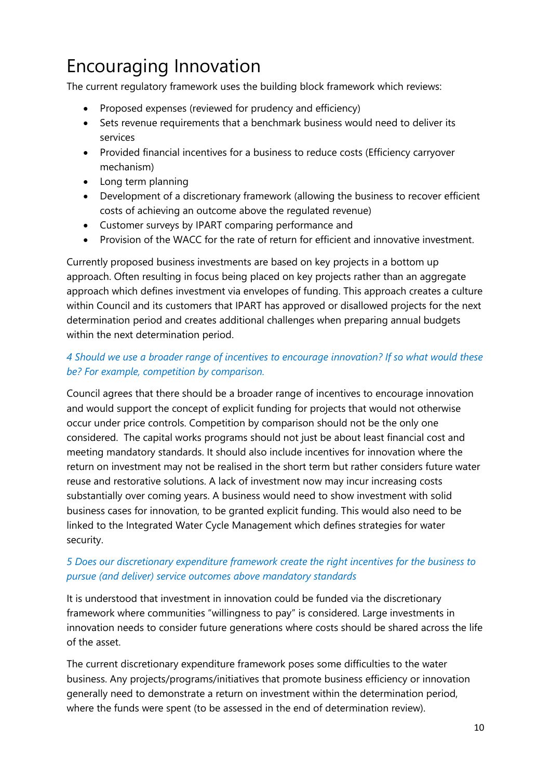### <span id="page-9-0"></span>Encouraging Innovation

The current regulatory framework uses the building block framework which reviews:

- Proposed expenses (reviewed for prudency and efficiency)
- Sets revenue requirements that a benchmark business would need to deliver its services
- Provided financial incentives for a business to reduce costs (Efficiency carryover mechanism)
- Long term planning
- Development of a discretionary framework (allowing the business to recover efficient costs of achieving an outcome above the regulated revenue)
- Customer surveys by IPART comparing performance and
- Provision of the WACC for the rate of return for efficient and innovative investment.

Currently proposed business investments are based on key projects in a bottom up approach. Often resulting in focus being placed on key projects rather than an aggregate approach which defines investment via envelopes of funding. This approach creates a culture within Council and its customers that IPART has approved or disallowed projects for the next determination period and creates additional challenges when preparing annual budgets within the next determination period.

### *4 Should we use a broader range of incentives to encourage innovation? If so what would these be? For example, competition by comparison.*

Council agrees that there should be a broader range of incentives to encourage innovation and would support the concept of explicit funding for projects that would not otherwise occur under price controls. Competition by comparison should not be the only one considered. The capital works programs should not just be about least financial cost and meeting mandatory standards. It should also include incentives for innovation where the return on investment may not be realised in the short term but rather considers future water reuse and restorative solutions. A lack of investment now may incur increasing costs substantially over coming years. A business would need to show investment with solid business cases for innovation, to be granted explicit funding. This would also need to be linked to the Integrated Water Cycle Management which defines strategies for water security.

### *5 Does our discretionary expenditure framework create the right incentives for the business to pursue (and deliver) service outcomes above mandatory standards*

It is understood that investment in innovation could be funded via the discretionary framework where communities "willingness to pay" is considered. Large investments in innovation needs to consider future generations where costs should be shared across the life of the asset.

The current discretionary expenditure framework poses some difficulties to the water business. Any projects/programs/initiatives that promote business efficiency or innovation generally need to demonstrate a return on investment within the determination period, where the funds were spent (to be assessed in the end of determination review).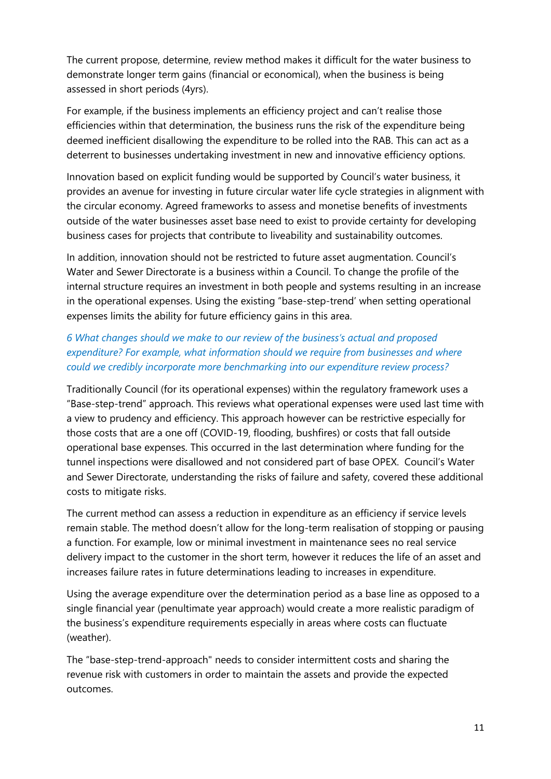The current propose, determine, review method makes it difficult for the water business to demonstrate longer term gains (financial or economical), when the business is being assessed in short periods (4yrs).

For example, if the business implements an efficiency project and can't realise those efficiencies within that determination, the business runs the risk of the expenditure being deemed inefficient disallowing the expenditure to be rolled into the RAB. This can act as a deterrent to businesses undertaking investment in new and innovative efficiency options.

Innovation based on explicit funding would be supported by Council's water business, it provides an avenue for investing in future circular water life cycle strategies in alignment with the circular economy. Agreed frameworks to assess and monetise benefits of investments outside of the water businesses asset base need to exist to provide certainty for developing business cases for projects that contribute to liveability and sustainability outcomes.

In addition, innovation should not be restricted to future asset augmentation. Council's Water and Sewer Directorate is a business within a Council. To change the profile of the internal structure requires an investment in both people and systems resulting in an increase in the operational expenses. Using the existing "base-step-trend' when setting operational expenses limits the ability for future efficiency gains in this area.

### *6 What changes should we make to our review of the business's actual and proposed expenditure? For example, what information should we require from businesses and where could we credibly incorporate more benchmarking into our expenditure review process?*

Traditionally Council (for its operational expenses) within the regulatory framework uses a "Base-step-trend" approach. This reviews what operational expenses were used last time with a view to prudency and efficiency. This approach however can be restrictive especially for those costs that are a one off (COVID-19, flooding, bushfires) or costs that fall outside operational base expenses. This occurred in the last determination where funding for the tunnel inspections were disallowed and not considered part of base OPEX. Council's Water and Sewer Directorate, understanding the risks of failure and safety, covered these additional costs to mitigate risks.

The current method can assess a reduction in expenditure as an efficiency if service levels remain stable. The method doesn't allow for the long-term realisation of stopping or pausing a function. For example, low or minimal investment in maintenance sees no real service delivery impact to the customer in the short term, however it reduces the life of an asset and increases failure rates in future determinations leading to increases in expenditure.

Using the average expenditure over the determination period as a base line as opposed to a single financial year (penultimate year approach) would create a more realistic paradigm of the business's expenditure requirements especially in areas where costs can fluctuate (weather).

The "base-step-trend-approach" needs to consider intermittent costs and sharing the revenue risk with customers in order to maintain the assets and provide the expected outcomes.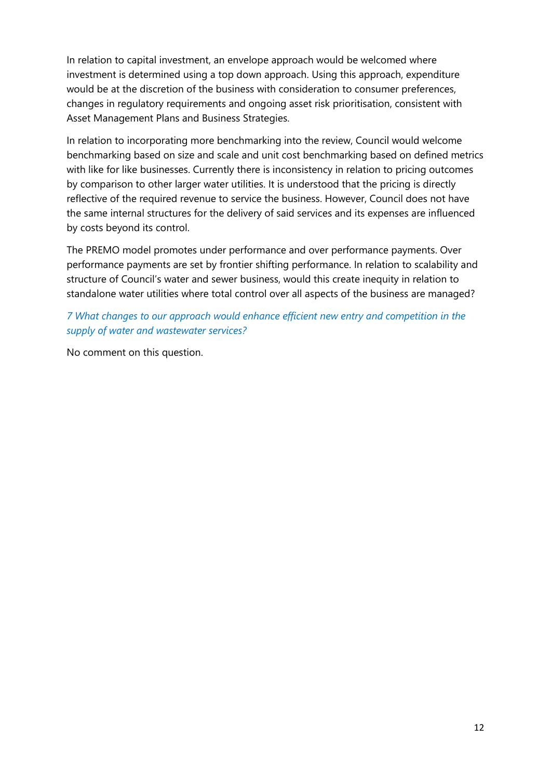In relation to capital investment, an envelope approach would be welcomed where investment is determined using a top down approach. Using this approach, expenditure would be at the discretion of the business with consideration to consumer preferences, changes in regulatory requirements and ongoing asset risk prioritisation, consistent with Asset Management Plans and Business Strategies.

In relation to incorporating more benchmarking into the review, Council would welcome benchmarking based on size and scale and unit cost benchmarking based on defined metrics with like for like businesses. Currently there is inconsistency in relation to pricing outcomes by comparison to other larger water utilities. It is understood that the pricing is directly reflective of the required revenue to service the business. However, Council does not have the same internal structures for the delivery of said services and its expenses are influenced by costs beyond its control.

The PREMO model promotes under performance and over performance payments. Over performance payments are set by frontier shifting performance. In relation to scalability and structure of Council's water and sewer business, would this create inequity in relation to standalone water utilities where total control over all aspects of the business are managed?

*7 What changes to our approach would enhance efficient new entry and competition in the supply of water and wastewater services?*

No comment on this question.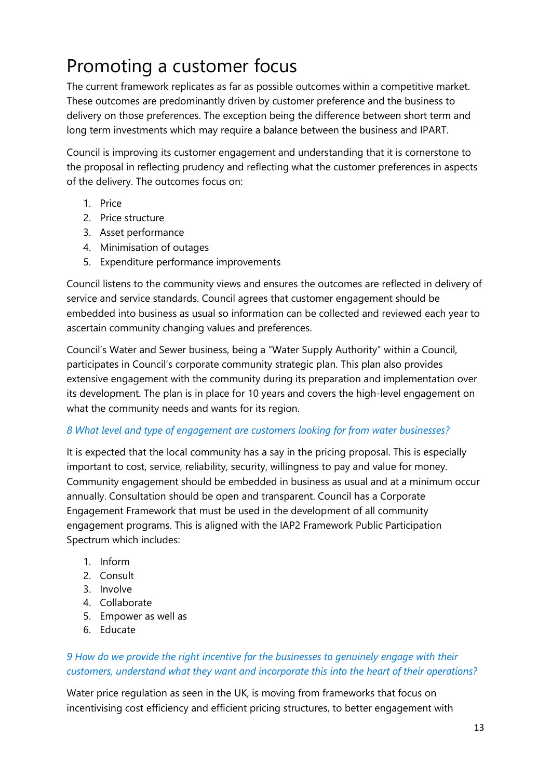### <span id="page-12-0"></span>Promoting a customer focus

The current framework replicates as far as possible outcomes within a competitive market. These outcomes are predominantly driven by customer preference and the business to delivery on those preferences. The exception being the difference between short term and long term investments which may require a balance between the business and IPART.

Council is improving its customer engagement and understanding that it is cornerstone to the proposal in reflecting prudency and reflecting what the customer preferences in aspects of the delivery. The outcomes focus on:

- 1. Price
- 2. Price structure
- 3. Asset performance
- 4. Minimisation of outages
- 5. Expenditure performance improvements

Council listens to the community views and ensures the outcomes are reflected in delivery of service and service standards. Council agrees that customer engagement should be embedded into business as usual so information can be collected and reviewed each year to ascertain community changing values and preferences.

Council's Water and Sewer business, being a "Water Supply Authority" within a Council, participates in Council's corporate community strategic plan. This plan also provides extensive engagement with the community during its preparation and implementation over its development. The plan is in place for 10 years and covers the high-level engagement on what the community needs and wants for its region.

#### *8 What level and type of engagement are customers looking for from water businesses?*

It is expected that the local community has a say in the pricing proposal. This is especially important to cost, service, reliability, security, willingness to pay and value for money. Community engagement should be embedded in business as usual and at a minimum occur annually. Consultation should be open and transparent. Council has a Corporate Engagement Framework that must be used in the development of all community engagement programs. This is aligned with the IAP2 Framework Public Participation Spectrum which includes:

- 1. Inform
- 2. Consult
- 3. Involve
- 4. Collaborate
- 5. Empower as well as
- 6. Educate

#### *9 How do we provide the right incentive for the businesses to genuinely engage with their customers, understand what they want and incorporate this into the heart of their operations?*

Water price regulation as seen in the UK, is moving from frameworks that focus on incentivising cost efficiency and efficient pricing structures, to better engagement with